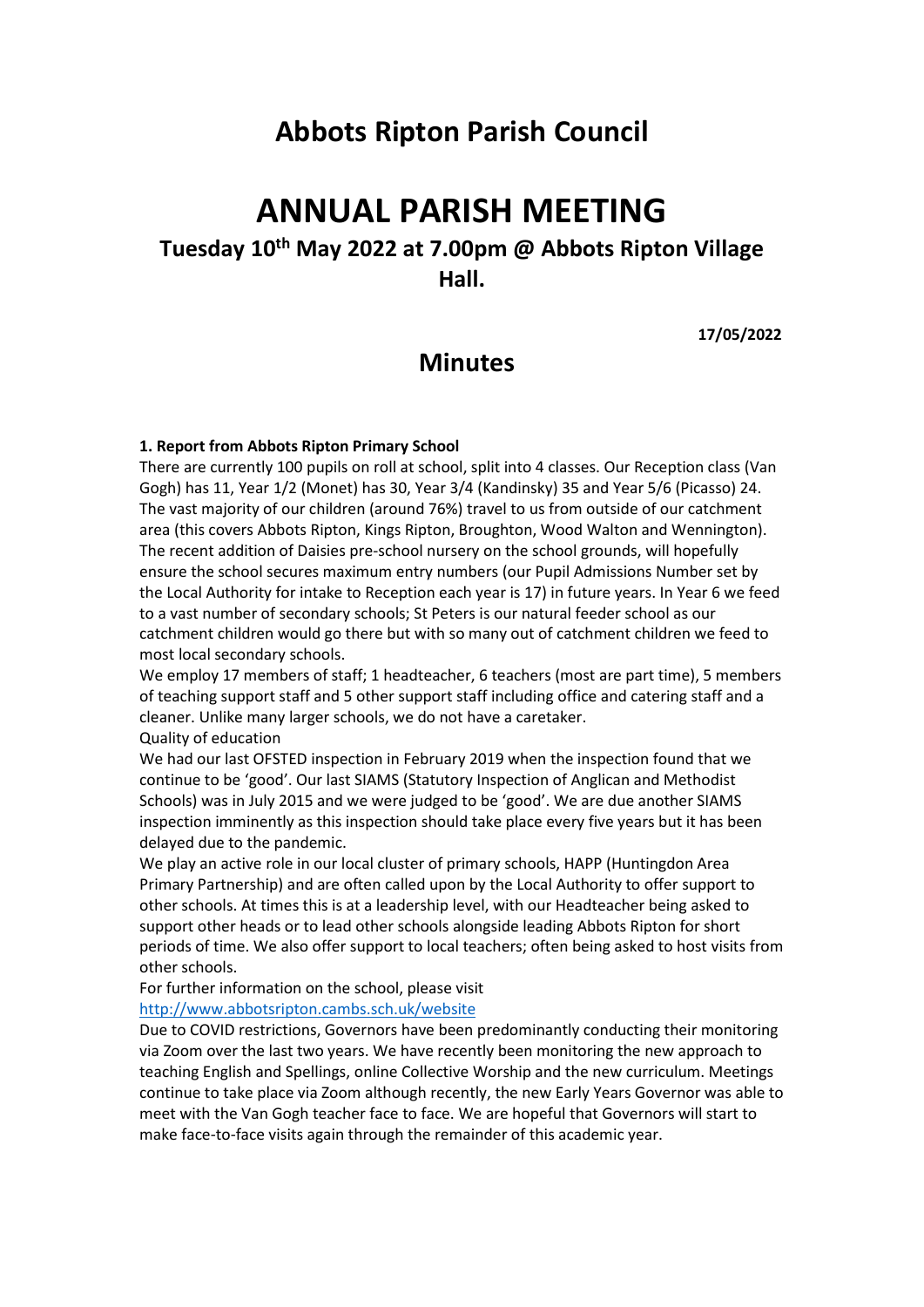## **Abbots Ripton Parish Council**

# **ANNUAL PARISH MEETING**

## **Tuesday 10th May 2022 at 7.00pm @ Abbots Ripton Village Hall.**

**17/05/2022** 

### **Minutes**

#### **1. Report from Abbots Ripton Primary School**

There are currently 100 pupils on roll at school, split into 4 classes. Our Reception class (Van Gogh) has 11, Year 1/2 (Monet) has 30, Year 3/4 (Kandinsky) 35 and Year 5/6 (Picasso) 24. The vast majority of our children (around 76%) travel to us from outside of our catchment area (this covers Abbots Ripton, Kings Ripton, Broughton, Wood Walton and Wennington). The recent addition of Daisies pre-school nursery on the school grounds, will hopefully ensure the school secures maximum entry numbers (our Pupil Admissions Number set by the Local Authority for intake to Reception each year is 17) in future years. In Year 6 we feed to a vast number of secondary schools; St Peters is our natural feeder school as our catchment children would go there but with so many out of catchment children we feed to most local secondary schools.

We employ 17 members of staff; 1 headteacher, 6 teachers (most are part time), 5 members of teaching support staff and 5 other support staff including office and catering staff and a cleaner. Unlike many larger schools, we do not have a caretaker. Quality of education

We had our last OFSTED inspection in February 2019 when the inspection found that we continue to be 'good'. Our last SIAMS (Statutory Inspection of Anglican and Methodist Schools) was in July 2015 and we were judged to be 'good'. We are due another SIAMS inspection imminently as this inspection should take place every five years but it has been delayed due to the pandemic.

We play an active role in our local cluster of primary schools, HAPP (Huntingdon Area Primary Partnership) and are often called upon by the Local Authority to offer support to other schools. At times this is at a leadership level, with our Headteacher being asked to support other heads or to lead other schools alongside leading Abbots Ripton for short periods of time. We also offer support to local teachers; often being asked to host visits from other schools.

For further information on the school, please visit

#### <http://www.abbotsripton.cambs.sch.uk/website>

Due to COVID restrictions, Governors have been predominantly conducting their monitoring via Zoom over the last two years. We have recently been monitoring the new approach to teaching English and Spellings, online Collective Worship and the new curriculum. Meetings continue to take place via Zoom although recently, the new Early Years Governor was able to meet with the Van Gogh teacher face to face. We are hopeful that Governors will start to make face-to-face visits again through the remainder of this academic year.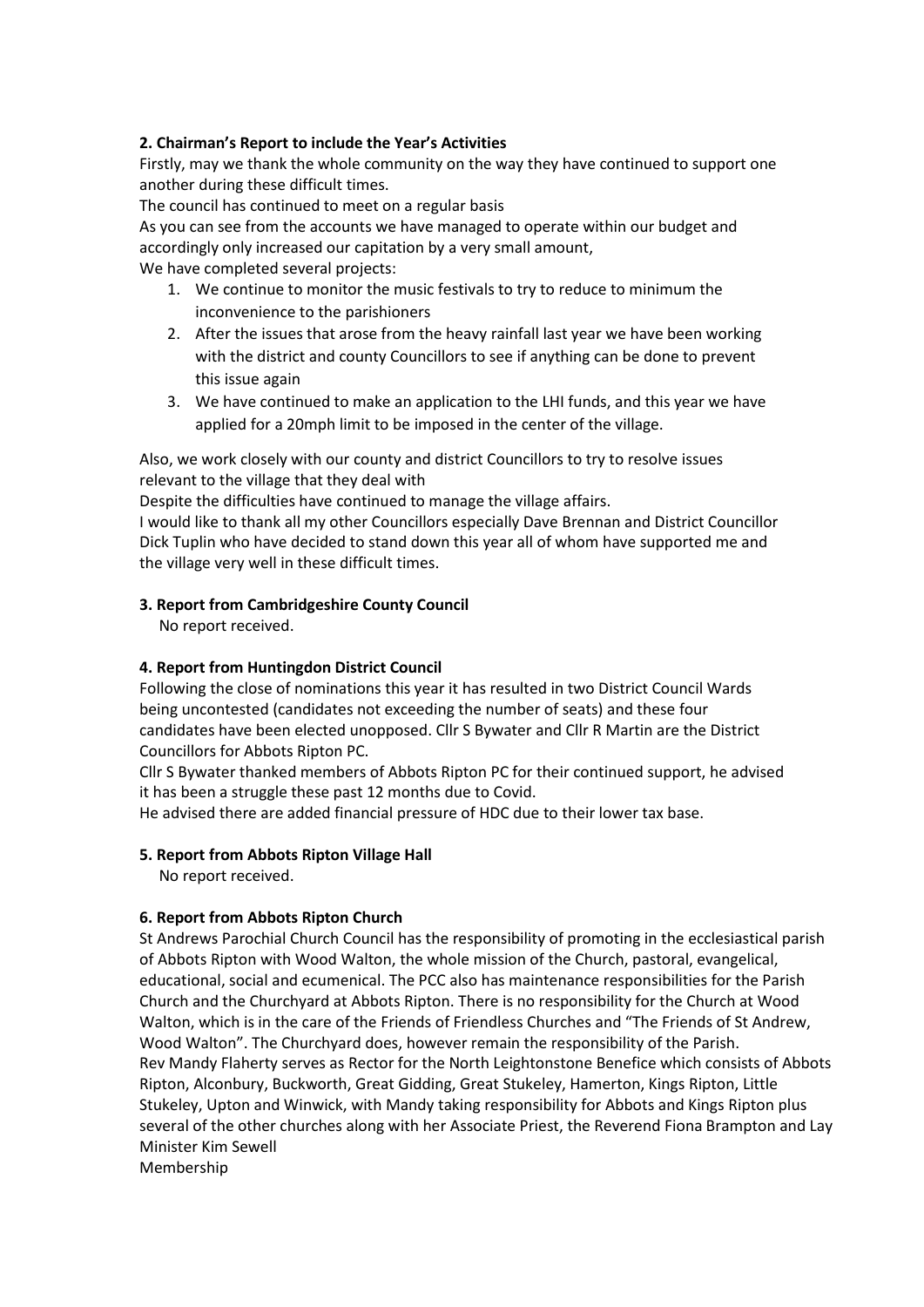#### **2. Chairman's Report to include the Year's Activities**

Firstly, may we thank the whole community on the way they have continued to support one another during these difficult times.

The council has continued to meet on a regular basis

As you can see from the accounts we have managed to operate within our budget and accordingly only increased our capitation by a very small amount,

We have completed several projects:

- 1. We continue to monitor the music festivals to try to reduce to minimum the inconvenience to the parishioners
- 2. After the issues that arose from the heavy rainfall last year we have been working with the district and county Councillors to see if anything can be done to prevent this issue again
- 3. We have continued to make an application to the LHI funds, and this year we have applied for a 20mph limit to be imposed in the center of the village.

Also, we work closely with our county and district Councillors to try to resolve issues relevant to the village that they deal with

Despite the difficulties have continued to manage the village affairs.

I would like to thank all my other Councillors especially Dave Brennan and District Councillor Dick Tuplin who have decided to stand down this year all of whom have supported me and the village very well in these difficult times.

#### **3. Report from Cambridgeshire County Council**

No report received.

#### **4. Report from Huntingdon District Council**

Following the close of nominations this year it has resulted in two District Council Wards being uncontested (candidates not exceeding the number of seats) and these four candidates have been elected unopposed. Cllr S Bywater and Cllr R Martin are the District Councillors for Abbots Ripton PC.

Cllr S Bywater thanked members of Abbots Ripton PC for their continued support, he advised it has been a struggle these past 12 months due to Covid.

He advised there are added financial pressure of HDC due to their lower tax base.

#### **5. Report from Abbots Ripton Village Hall**

No report received.

#### **6. Report from Abbots Ripton Church**

St Andrews Parochial Church Council has the responsibility of promoting in the ecclesiastical parish of Abbots Ripton with Wood Walton, the whole mission of the Church, pastoral, evangelical, educational, social and ecumenical. The PCC also has maintenance responsibilities for the Parish Church and the Churchyard at Abbots Ripton. There is no responsibility for the Church at Wood Walton, which is in the care of the Friends of Friendless Churches and "The Friends of St Andrew, Wood Walton". The Churchyard does, however remain the responsibility of the Parish. Rev Mandy Flaherty serves as Rector for the North Leightonstone Benefice which consists of Abbots Ripton, Alconbury, Buckworth, Great Gidding, Great Stukeley, Hamerton, Kings Ripton, Little Stukeley, Upton and Winwick, with Mandy taking responsibility for Abbots and Kings Ripton plus several of the other churches along with her Associate Priest, the Reverend Fiona Brampton and Lay Minister Kim Sewell

Membership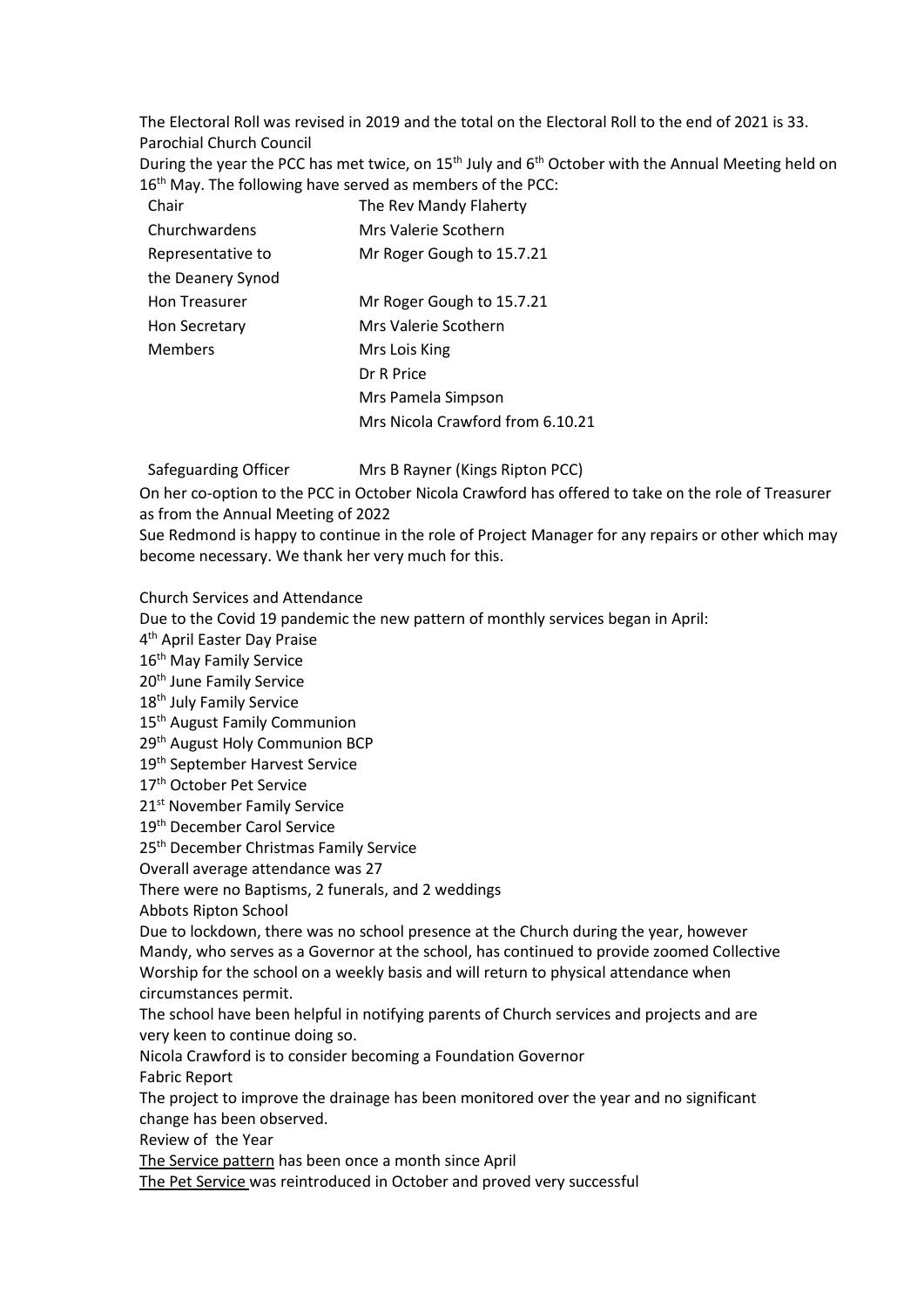The Electoral Roll was revised in 2019 and the total on the Electoral Roll to the end of 2021 is 33. Parochial Church Council

During the year the PCC has met twice, on 15<sup>th</sup> July and 6<sup>th</sup> October with the Annual Meeting held on 16<sup>th</sup> May. The following have served as members of the PCC:

| Chair                | The Rev Mandy Flaherty           |
|----------------------|----------------------------------|
| Churchwardens        | Mrs Valerie Scothern             |
| Representative to    | Mr Roger Gough to 15.7.21        |
| the Deanery Synod    |                                  |
| <b>Hon Treasurer</b> | Mr Roger Gough to 15.7.21        |
| Hon Secretary        | Mrs Valerie Scothern             |
| <b>Members</b>       | Mrs Lois King                    |
|                      | Dr R Price                       |
|                      | Mrs Pamela Simpson               |
|                      | Mrs Nicola Crawford from 6.10.21 |

Safeguarding Officer Mrs B Rayner (Kings Ripton PCC)

On her co-option to the PCC in October Nicola Crawford has offered to take on the role of Treasurer as from the Annual Meeting of 2022

Sue Redmond is happy to continue in the role of Project Manager for any repairs or other which may become necessary. We thank her very much for this.

Church Services and Attendance

Due to the Covid 19 pandemic the new pattern of monthly services began in April:

4 th April Easter Day Praise

16<sup>th</sup> May Family Service

20<sup>th</sup> June Family Service

18<sup>th</sup> July Family Service

15<sup>th</sup> August Family Communion

29<sup>th</sup> August Holy Communion BCP

19<sup>th</sup> September Harvest Service

17<sup>th</sup> October Pet Service

21<sup>st</sup> November Family Service

19th December Carol Service

25th December Christmas Family Service

Overall average attendance was 27

There were no Baptisms, 2 funerals, and 2 weddings

Abbots Ripton School

Due to lockdown, there was no school presence at the Church during the year, however Mandy, who serves as a Governor at the school, has continued to provide zoomed Collective Worship for the school on a weekly basis and will return to physical attendance when circumstances permit.

The school have been helpful in notifying parents of Church services and projects and are very keen to continue doing so.

Nicola Crawford is to consider becoming a Foundation Governor

Fabric Report

The project to improve the drainage has been monitored over the year and no significant change has been observed.

Review of the Year

The Service pattern has been once a month since April

The Pet Service was reintroduced in October and proved very successful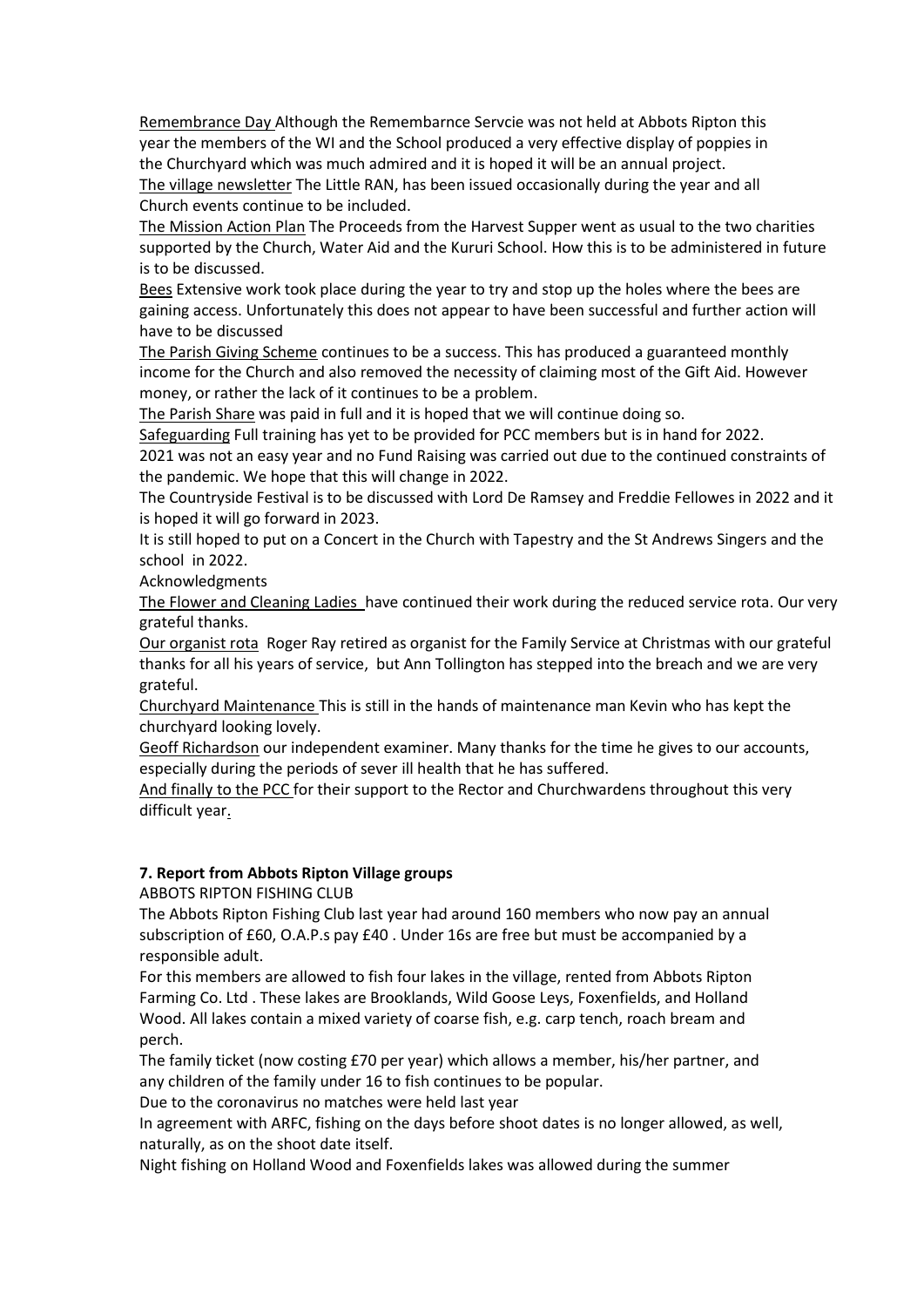Remembrance Day Although the Remembarnce Servcie was not held at Abbots Ripton this year the members of the WI and the School produced a very effective display of poppies in the Churchyard which was much admired and it is hoped it will be an annual project. The village newsletter The Little RAN, has been issued occasionally during the year and all

Church events continue to be included.

The Mission Action Plan The Proceeds from the Harvest Supper went as usual to the two charities supported by the Church, Water Aid and the Kururi School. How this is to be administered in future is to be discussed.

Bees Extensive work took place during the year to try and stop up the holes where the bees are gaining access. Unfortunately this does not appear to have been successful and further action will have to be discussed

The Parish Giving Scheme continues to be a success. This has produced a guaranteed monthly income for the Church and also removed the necessity of claiming most of the Gift Aid. However money, or rather the lack of it continues to be a problem.

The Parish Share was paid in full and it is hoped that we will continue doing so.

Safeguarding Full training has yet to be provided for PCC members but is in hand for 2022.

2021 was not an easy year and no Fund Raising was carried out due to the continued constraints of the pandemic. We hope that this will change in 2022.

The Countryside Festival is to be discussed with Lord De Ramsey and Freddie Fellowes in 2022 and it is hoped it will go forward in 2023.

It is still hoped to put on a Concert in the Church with Tapestry and the St Andrews Singers and the school in 2022.

Acknowledgments

The Flower and Cleaning Ladies have continued their work during the reduced service rota. Our very grateful thanks.

Our organist rota Roger Ray retired as organist for the Family Service at Christmas with our grateful thanks for all his years of service, but Ann Tollington has stepped into the breach and we are very grateful.

Churchyard Maintenance This is still in the hands of maintenance man Kevin who has kept the churchyard looking lovely.

Geoff Richardson our independent examiner. Many thanks for the time he gives to our accounts, especially during the periods of sever ill health that he has suffered.

And finally to the PCC for their support to the Rector and Churchwardens throughout this very difficult year.

#### **7. Report from Abbots Ripton Village groups**

ABBOTS RIPTON FISHING CLUB

The Abbots Ripton Fishing Club last year had around 160 members who now pay an annual subscription of £60, O.A.P.s pay £40 . Under 16s are free but must be accompanied by a responsible adult.

For this members are allowed to fish four lakes in the village, rented from Abbots Ripton Farming Co. Ltd . These lakes are Brooklands, Wild Goose Leys, Foxenfields, and Holland Wood. All lakes contain a mixed variety of coarse fish, e.g. carp tench, roach bream and perch.

The family ticket (now costing £70 per year) which allows a member, his/her partner, and any children of the family under 16 to fish continues to be popular.

Due to the coronavirus no matches were held last year

In agreement with ARFC, fishing on the days before shoot dates is no longer allowed, as well, naturally, as on the shoot date itself.

Night fishing on Holland Wood and Foxenfields lakes was allowed during the summer